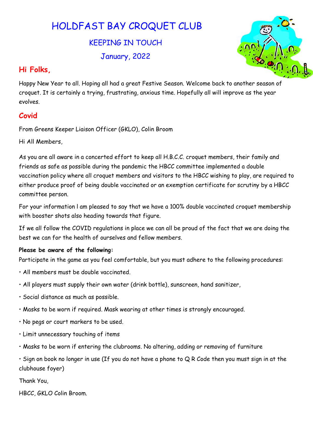# HOLDFAST BAY CROQUET CLUB

KEEPING IN TOUCH January, 2022



### Hi Folks,

Happy New Year to all. Hoping all had a great Festive Season. Welcome back to another season of croquet. It is certainly a trying, frustrating, anxious time. Hopefully all will improve as the year evolves.

## **Covid**

From Greens Keeper Liaison Officer (GKLO), Colin Broom

Hi All Members,

As you are all aware in a concerted effort to keep all H.B.C.C. croquet members, their family and friends as safe as possible during the pandemic the HBCC committee implemented a double vaccination policy where all croquet members and visitors to the HBCC wishing to play, are required to either produce proof of being double vaccinated or an exemption certificate for scrutiny by a HBCC committee person.

For your information l am pleased to say that we have a 100% double vaccinated croquet membership with booster shots also heading towards that figure.

If we all follow the COVID regulations in place we can all be proud of the fact that we are doing the best we can for the health of ourselves and fellow members.

#### Please be aware of the following:

Participate in the game as you feel comfortable, but you must adhere to the following procedures:

- All members must be double vaccinated.
- All players must supply their own water (drink bottle), sunscreen, hand sanitizer,
- Social distance as much as possible.
- Masks to be worn if required. Mask wearing at other times is strongly encouraged.
- No pegs or court markers to be used.
- Limit unnecessary touching of items
- Masks to be worn if entering the clubrooms. No altering, adding or removing of furniture

 $\cdot$  Sign on book no longer in use (If you do not have a phone to Q R Code then you must sign in at the clubhouse foyer)

Thank You,

HBCC, GKLO Colin Broom.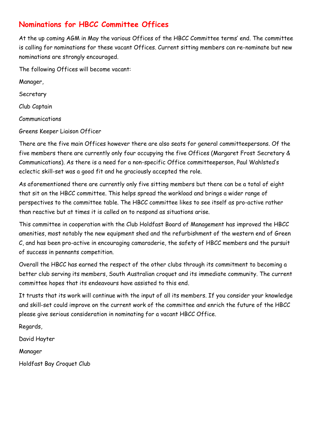# Nominations for HBCC Committee Offices

At the up coming AGM in May the various Offices of the HBCC Committee terms' end. The committee is calling for nominations for these vacant Offices. Current sitting members can re-nominate but new nominations are strongly encouraged.

The following Offices will become vacant:

Manager,

Secretary

Club Captain

Communications

Greens Keeper Liaison Officer

There are the five main Offices however there are also seats for general committeepersons. Of the five members there are currently only four occupying the five Offices (Margaret Frost Secretary & Communications). As there is a need for a non-specific Office committeeperson, Paul Wahlsted's eclectic skill-set was a good fit and he graciously accepted the role.

As aforementioned there are currently only five sitting members but there can be a total of eight that sit on the HBCC committee. This helps spread the workload and brings a wider range of perspectives to the committee table. The HBCC committee likes to see itself as pro-active rather than reactive but at times it is called on to respond as situations arise.

This committee in cooperation with the Club Holdfast Board of Management has improved the HBCC amenities, most notably the new equipment shed and the refurbishment of the western end of Green C, and has been pro-active in encouraging camaraderie, the safety of HBCC members and the pursuit of success in pennants competition.

Overall the HBCC has earned the respect of the other clubs through its commitment to becoming a better club serving its members, South Australian croquet and its immediate community. The current committee hopes that its endeavours have assisted to this end.

It trusts that its work will continue with the input of all its members. If you consider your knowledge and skill-set could improve on the current work of the committee and enrich the future of the HBCC please give serious consideration in nominating for a vacant HBCC Office.

Regards,

David Hayter

Manager

Holdfast Bay Croquet Club